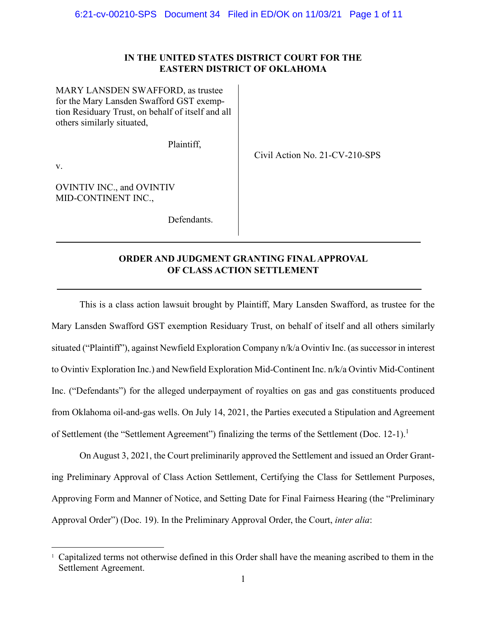## **IN THE UNITED STATES DISTRICT COURT FOR THE EASTERN DISTRICT OF OKLAHOMA**

Civil Action No. 21-CV-210-SPS

MARY LANSDEN SWAFFORD, as trustee for the Mary Lansden Swafford GST exemption Residuary Trust, on behalf of itself and all others similarly situated,

Plaintiff,

v.

OVINTIV INC., and OVINTIV MID-CONTINENT INC.,

Defendants.

# **ORDER AND JUDGMENT GRANTING FINAL APPROVAL OF CLASS ACTION SETTLEMENT**

This is a class action lawsuit brought by Plaintiff, Mary Lansden Swafford, as trustee for the Mary Lansden Swafford GST exemption Residuary Trust, on behalf of itself and all others similarly situated ("Plaintiff"), against Newfield Exploration Company n/k/a Ovintiv Inc. (as successor in interest to Ovintiv Exploration Inc.) and Newfield Exploration Mid-Continent Inc. n/k/a Ovintiv Mid-Continent Inc. ("Defendants") for the alleged underpayment of royalties on gas and gas constituents produced from Oklahoma oil-and-gas wells. On July 14, 2021, the Parties executed a Stipulation and Agreement of Settlement (the "Settlement Agreement") finalizing the terms of the Settlement (Doc. [1](#page-0-0)2-1).<sup>1</sup>

On August 3, 2021, the Court preliminarily approved the Settlement and issued an Order Granting Preliminary Approval of Class Action Settlement, Certifying the Class for Settlement Purposes, Approving Form and Manner of Notice, and Setting Date for Final Fairness Hearing (the "Preliminary Approval Order") (Doc. 19). In the Preliminary Approval Order, the Court, *inter alia*:

<span id="page-0-0"></span><sup>&</sup>lt;sup>1</sup> Capitalized terms not otherwise defined in this Order shall have the meaning ascribed to them in the Settlement Agreement.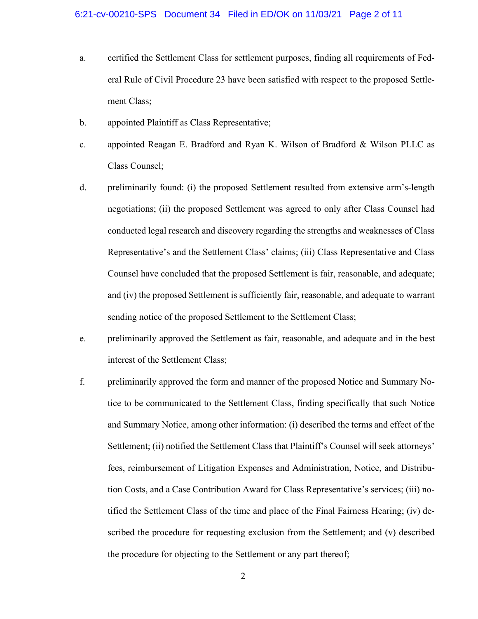- a. certified the Settlement Class for settlement purposes, finding all requirements of Federal Rule of Civil Procedure 23 have been satisfied with respect to the proposed Settlement Class;
- b. appointed Plaintiff as Class Representative;
- c. appointed Reagan E. Bradford and Ryan K. Wilson of Bradford & Wilson PLLC as Class Counsel;
- d. preliminarily found: (i) the proposed Settlement resulted from extensive arm's-length negotiations; (ii) the proposed Settlement was agreed to only after Class Counsel had conducted legal research and discovery regarding the strengths and weaknesses of Class Representative's and the Settlement Class' claims; (iii) Class Representative and Class Counsel have concluded that the proposed Settlement is fair, reasonable, and adequate; and (iv) the proposed Settlement is sufficiently fair, reasonable, and adequate to warrant sending notice of the proposed Settlement to the Settlement Class;
- e. preliminarily approved the Settlement as fair, reasonable, and adequate and in the best interest of the Settlement Class;
- f. preliminarily approved the form and manner of the proposed Notice and Summary Notice to be communicated to the Settlement Class, finding specifically that such Notice and Summary Notice, among other information: (i) described the terms and effect of the Settlement; (ii) notified the Settlement Class that Plaintiff's Counsel will seek attorneys' fees, reimbursement of Litigation Expenses and Administration, Notice, and Distribution Costs, and a Case Contribution Award for Class Representative's services; (iii) notified the Settlement Class of the time and place of the Final Fairness Hearing; (iv) described the procedure for requesting exclusion from the Settlement; and (v) described the procedure for objecting to the Settlement or any part thereof;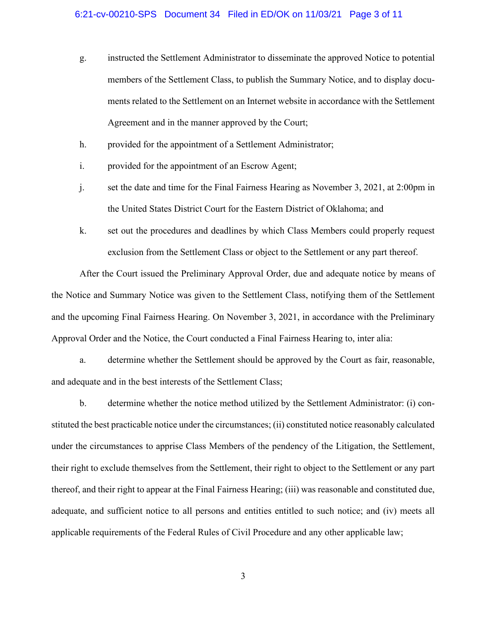- g. instructed the Settlement Administrator to disseminate the approved Notice to potential members of the Settlement Class, to publish the Summary Notice, and to display documents related to the Settlement on an Internet website in accordance with the Settlement Agreement and in the manner approved by the Court;
- h. provided for the appointment of a Settlement Administrator;
- i. provided for the appointment of an Escrow Agent;
- j. set the date and time for the Final Fairness Hearing as November 3, 2021, at 2:00pm in the United States District Court for the Eastern District of Oklahoma; and
- k. set out the procedures and deadlines by which Class Members could properly request exclusion from the Settlement Class or object to the Settlement or any part thereof.

After the Court issued the Preliminary Approval Order, due and adequate notice by means of the Notice and Summary Notice was given to the Settlement Class, notifying them of the Settlement and the upcoming Final Fairness Hearing. On November 3, 2021, in accordance with the Preliminary Approval Order and the Notice, the Court conducted a Final Fairness Hearing to, inter alia:

a. determine whether the Settlement should be approved by the Court as fair, reasonable, and adequate and in the best interests of the Settlement Class;

b. determine whether the notice method utilized by the Settlement Administrator: (i) constituted the best practicable notice under the circumstances; (ii) constituted notice reasonably calculated under the circumstances to apprise Class Members of the pendency of the Litigation, the Settlement, their right to exclude themselves from the Settlement, their right to object to the Settlement or any part thereof, and their right to appear at the Final Fairness Hearing; (iii) was reasonable and constituted due, adequate, and sufficient notice to all persons and entities entitled to such notice; and (iv) meets all applicable requirements of the Federal Rules of Civil Procedure and any other applicable law;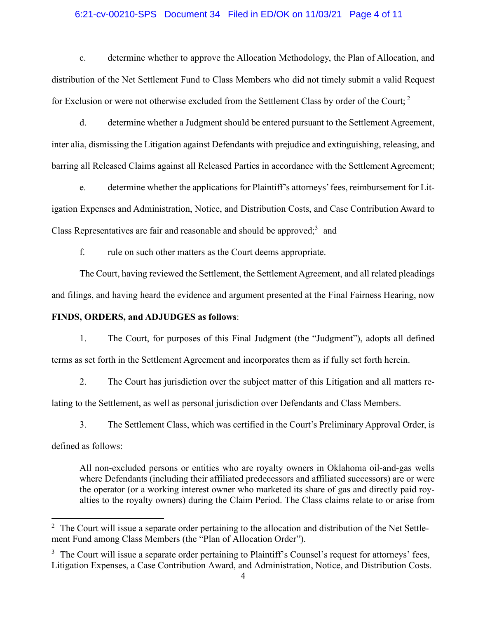#### 6:21-cv-00210-SPS Document 34 Filed in ED/OK on 11/03/21 Page 4 of 11

c. determine whether to approve the Allocation Methodology, the Plan of Allocation, and distribution of the Net Settlement Fund to Class Members who did not timely submit a valid Request for Exclusion or were not otherwise excluded from the Settlement Class by order of the Court;<sup>[2](#page-3-0)</sup>

d. determine whether a Judgment should be entered pursuant to the Settlement Agreement, inter alia, dismissing the Litigation against Defendants with prejudice and extinguishing, releasing, and barring all Released Claims against all Released Parties in accordance with the Settlement Agreement;

e. determine whether the applications for Plaintiff's attorneys' fees, reimbursement for Litigation Expenses and Administration, Notice, and Distribution Costs, and Case Contribution Award to Class Representatives are fair and reasonable and should be approved; $3$  and

f. rule on such other matters as the Court deems appropriate.

The Court, having reviewed the Settlement, the Settlement Agreement, and all related pleadings and filings, and having heard the evidence and argument presented at the Final Fairness Hearing, now

### **FINDS, ORDERS, and ADJUDGES as follows**:

1. The Court, for purposes of this Final Judgment (the "Judgment"), adopts all defined terms as set forth in the Settlement Agreement and incorporates them as if fully set forth herein.

2. The Court has jurisdiction over the subject matter of this Litigation and all matters relating to the Settlement, as well as personal jurisdiction over Defendants and Class Members.

3. The Settlement Class, which was certified in the Court's Preliminary Approval Order, is

defined as follows:

All non-excluded persons or entities who are royalty owners in Oklahoma oil-and-gas wells where Defendants (including their affiliated predecessors and affiliated successors) are or were the operator (or a working interest owner who marketed its share of gas and directly paid royalties to the royalty owners) during the Claim Period. The Class claims relate to or arise from

<span id="page-3-0"></span><sup>&</sup>lt;sup>2</sup> The Court will issue a separate order pertaining to the allocation and distribution of the Net Settlement Fund among Class Members (the "Plan of Allocation Order").

<span id="page-3-1"></span> $3\text{ The Court will issue a separate order pertaining to Plaintiff's Council's request for attempts' fees, }$ Litigation Expenses, a Case Contribution Award, and Administration, Notice, and Distribution Costs.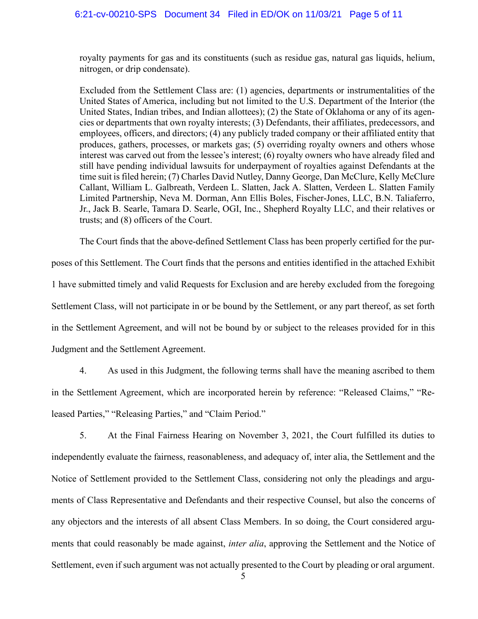royalty payments for gas and its constituents (such as residue gas, natural gas liquids, helium, nitrogen, or drip condensate).

Excluded from the Settlement Class are: (1) agencies, departments or instrumentalities of the United States of America, including but not limited to the U.S. Department of the Interior (the United States, Indian tribes, and Indian allottees); (2) the State of Oklahoma or any of its agencies or departments that own royalty interests; (3) Defendants, their affiliates, predecessors, and employees, officers, and directors; (4) any publicly traded company or their affiliated entity that produces, gathers, processes, or markets gas; (5) overriding royalty owners and others whose interest was carved out from the lessee's interest; (6) royalty owners who have already filed and still have pending individual lawsuits for underpayment of royalties against Defendants at the time suit is filed herein; (7) Charles David Nutley, Danny George, Dan McClure, Kelly McClure Callant, William L. Galbreath, Verdeen L. Slatten, Jack A. Slatten, Verdeen L. Slatten Family Limited Partnership, Neva M. Dorman, Ann Ellis Boles, Fischer-Jones, LLC, B.N. Taliaferro, Jr., Jack B. Searle, Tamara D. Searle, OGI, Inc., Shepherd Royalty LLC, and their relatives or trusts; and (8) officers of the Court.

The Court finds that the above-defined Settlement Class has been properly certified for the purposes of this Settlement. The Court finds that the persons and entities identified in the attached Exhibit 1 have submitted timely and valid Requests for Exclusion and are hereby excluded from the foregoing Settlement Class, will not participate in or be bound by the Settlement, or any part thereof, as set forth in the Settlement Agreement, and will not be bound by or subject to the releases provided for in this Judgment and the Settlement Agreement.

4. As used in this Judgment, the following terms shall have the meaning ascribed to them in the Settlement Agreement, which are incorporated herein by reference: "Released Claims," "Released Parties," "Releasing Parties," and "Claim Period."

5. At the Final Fairness Hearing on November 3, 2021, the Court fulfilled its duties to independently evaluate the fairness, reasonableness, and adequacy of, inter alia, the Settlement and the Notice of Settlement provided to the Settlement Class, considering not only the pleadings and arguments of Class Representative and Defendants and their respective Counsel, but also the concerns of any objectors and the interests of all absent Class Members. In so doing, the Court considered arguments that could reasonably be made against, *inter alia*, approving the Settlement and the Notice of Settlement, even if such argument was not actually presented to the Court by pleading or oral argument.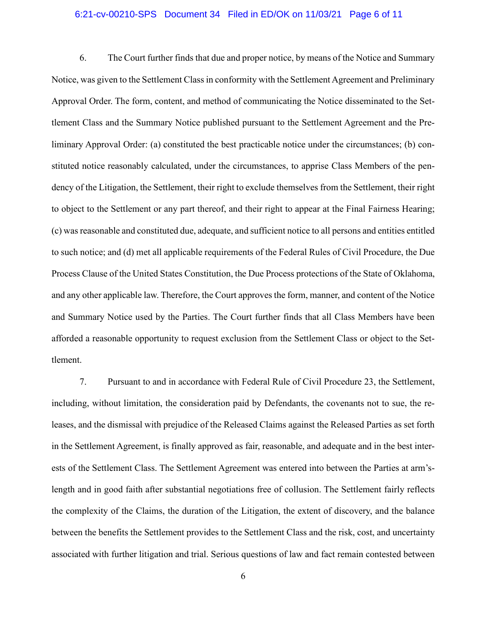#### 6:21-cv-00210-SPS Document 34 Filed in ED/OK on 11/03/21 Page 6 of 11

6. The Court further finds that due and proper notice, by means of the Notice and Summary Notice, was given to the Settlement Class in conformity with the Settlement Agreement and Preliminary Approval Order. The form, content, and method of communicating the Notice disseminated to the Settlement Class and the Summary Notice published pursuant to the Settlement Agreement and the Preliminary Approval Order: (a) constituted the best practicable notice under the circumstances; (b) constituted notice reasonably calculated, under the circumstances, to apprise Class Members of the pendency of the Litigation, the Settlement, their right to exclude themselves from the Settlement, their right to object to the Settlement or any part thereof, and their right to appear at the Final Fairness Hearing; (c) was reasonable and constituted due, adequate, and sufficient notice to all persons and entities entitled to such notice; and (d) met all applicable requirements of the Federal Rules of Civil Procedure, the Due Process Clause of the United States Constitution, the Due Process protections of the State of Oklahoma, and any other applicable law. Therefore, the Court approves the form, manner, and content of the Notice and Summary Notice used by the Parties. The Court further finds that all Class Members have been afforded a reasonable opportunity to request exclusion from the Settlement Class or object to the Settlement.

7. Pursuant to and in accordance with Federal Rule of Civil Procedure 23, the Settlement, including, without limitation, the consideration paid by Defendants, the covenants not to sue, the releases, and the dismissal with prejudice of the Released Claims against the Released Parties as set forth in the Settlement Agreement, is finally approved as fair, reasonable, and adequate and in the best interests of the Settlement Class. The Settlement Agreement was entered into between the Parties at arm'slength and in good faith after substantial negotiations free of collusion. The Settlement fairly reflects the complexity of the Claims, the duration of the Litigation, the extent of discovery, and the balance between the benefits the Settlement provides to the Settlement Class and the risk, cost, and uncertainty associated with further litigation and trial. Serious questions of law and fact remain contested between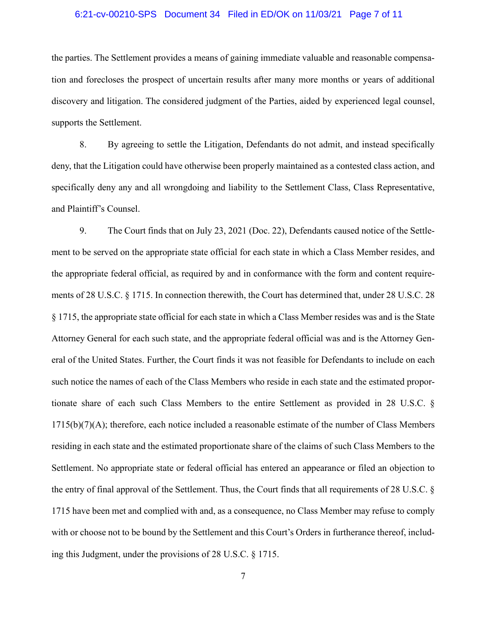#### 6:21-cv-00210-SPS Document 34 Filed in ED/OK on 11/03/21 Page 7 of 11

the parties. The Settlement provides a means of gaining immediate valuable and reasonable compensation and forecloses the prospect of uncertain results after many more months or years of additional discovery and litigation. The considered judgment of the Parties, aided by experienced legal counsel, supports the Settlement.

8. By agreeing to settle the Litigation, Defendants do not admit, and instead specifically deny, that the Litigation could have otherwise been properly maintained as a contested class action, and specifically deny any and all wrongdoing and liability to the Settlement Class, Class Representative, and Plaintiff's Counsel.

9. The Court finds that on July 23, 2021 (Doc. 22), Defendants caused notice of the Settlement to be served on the appropriate state official for each state in which a Class Member resides, and the appropriate federal official, as required by and in conformance with the form and content requirements of 28 U.S.C. § 1715. In connection therewith, the Court has determined that, under 28 U.S.C. 28 § 1715, the appropriate state official for each state in which a Class Member resides was and is the State Attorney General for each such state, and the appropriate federal official was and is the Attorney General of the United States. Further, the Court finds it was not feasible for Defendants to include on each such notice the names of each of the Class Members who reside in each state and the estimated proportionate share of each such Class Members to the entire Settlement as provided in 28 U.S.C. §  $1715(b)(7)(A)$ ; therefore, each notice included a reasonable estimate of the number of Class Members residing in each state and the estimated proportionate share of the claims of such Class Members to the Settlement. No appropriate state or federal official has entered an appearance or filed an objection to the entry of final approval of the Settlement. Thus, the Court finds that all requirements of 28 U.S.C. § 1715 have been met and complied with and, as a consequence, no Class Member may refuse to comply with or choose not to be bound by the Settlement and this Court's Orders in furtherance thereof, including this Judgment, under the provisions of 28 U.S.C. § 1715.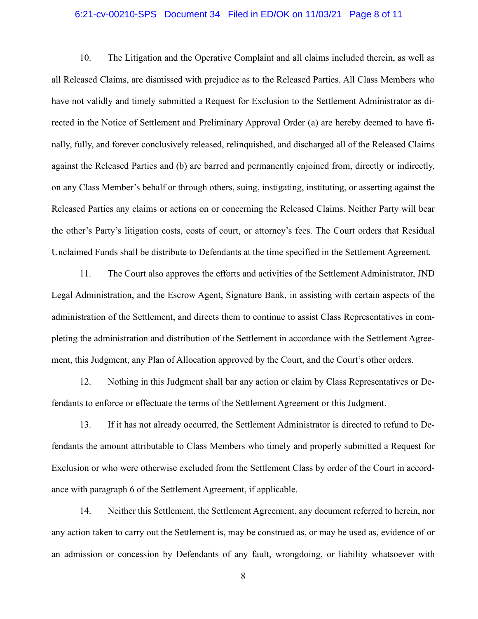#### 6:21-cv-00210-SPS Document 34 Filed in ED/OK on 11/03/21 Page 8 of 11

10. The Litigation and the Operative Complaint and all claims included therein, as well as all Released Claims, are dismissed with prejudice as to the Released Parties. All Class Members who have not validly and timely submitted a Request for Exclusion to the Settlement Administrator as directed in the Notice of Settlement and Preliminary Approval Order (a) are hereby deemed to have finally, fully, and forever conclusively released, relinquished, and discharged all of the Released Claims against the Released Parties and (b) are barred and permanently enjoined from, directly or indirectly, on any Class Member's behalf or through others, suing, instigating, instituting, or asserting against the Released Parties any claims or actions on or concerning the Released Claims. Neither Party will bear the other's Party's litigation costs, costs of court, or attorney's fees. The Court orders that Residual Unclaimed Funds shall be distribute to Defendants at the time specified in the Settlement Agreement.

11. The Court also approves the efforts and activities of the Settlement Administrator, JND Legal Administration, and the Escrow Agent, Signature Bank, in assisting with certain aspects of the administration of the Settlement, and directs them to continue to assist Class Representatives in completing the administration and distribution of the Settlement in accordance with the Settlement Agreement, this Judgment, any Plan of Allocation approved by the Court, and the Court's other orders.

12. Nothing in this Judgment shall bar any action or claim by Class Representatives or Defendants to enforce or effectuate the terms of the Settlement Agreement or this Judgment.

13. If it has not already occurred, the Settlement Administrator is directed to refund to Defendants the amount attributable to Class Members who timely and properly submitted a Request for Exclusion or who were otherwise excluded from the Settlement Class by order of the Court in accordance with paragraph 6 of the Settlement Agreement, if applicable.

14. Neither this Settlement, the Settlement Agreement, any document referred to herein, nor any action taken to carry out the Settlement is, may be construed as, or may be used as, evidence of or an admission or concession by Defendants of any fault, wrongdoing, or liability whatsoever with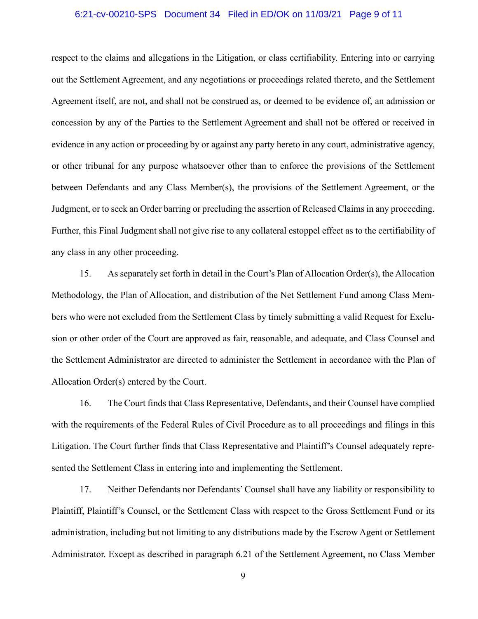#### 6:21-cv-00210-SPS Document 34 Filed in ED/OK on 11/03/21 Page 9 of 11

respect to the claims and allegations in the Litigation, or class certifiability. Entering into or carrying out the Settlement Agreement, and any negotiations or proceedings related thereto, and the Settlement Agreement itself, are not, and shall not be construed as, or deemed to be evidence of, an admission or concession by any of the Parties to the Settlement Agreement and shall not be offered or received in evidence in any action or proceeding by or against any party hereto in any court, administrative agency, or other tribunal for any purpose whatsoever other than to enforce the provisions of the Settlement between Defendants and any Class Member(s), the provisions of the Settlement Agreement, or the Judgment, or to seek an Order barring or precluding the assertion of Released Claims in any proceeding. Further, this Final Judgment shall not give rise to any collateral estoppel effect as to the certifiability of any class in any other proceeding.

15. As separately set forth in detail in the Court's Plan of Allocation Order(s), the Allocation Methodology, the Plan of Allocation, and distribution of the Net Settlement Fund among Class Members who were not excluded from the Settlement Class by timely submitting a valid Request for Exclusion or other order of the Court are approved as fair, reasonable, and adequate, and Class Counsel and the Settlement Administrator are directed to administer the Settlement in accordance with the Plan of Allocation Order(s) entered by the Court.

16. The Court finds that Class Representative, Defendants, and their Counsel have complied with the requirements of the Federal Rules of Civil Procedure as to all proceedings and filings in this Litigation. The Court further finds that Class Representative and Plaintiff's Counsel adequately represented the Settlement Class in entering into and implementing the Settlement.

17. Neither Defendants nor Defendants' Counsel shall have any liability or responsibility to Plaintiff, Plaintiff's Counsel, or the Settlement Class with respect to the Gross Settlement Fund or its administration, including but not limiting to any distributions made by the Escrow Agent or Settlement Administrator. Except as described in paragraph 6.21 of the Settlement Agreement, no Class Member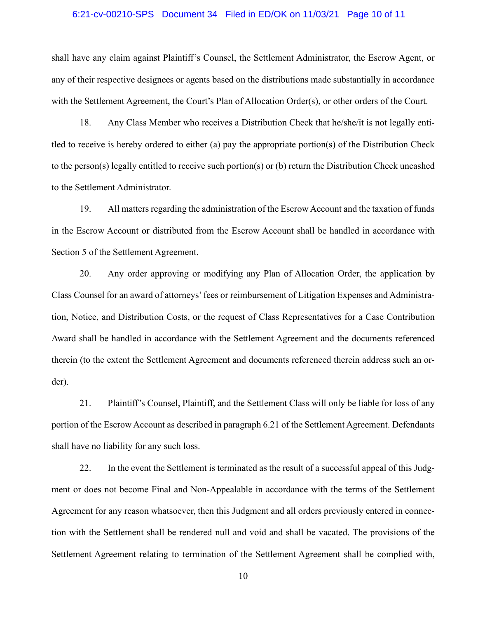#### 6:21-cv-00210-SPS Document 34 Filed in ED/OK on 11/03/21 Page 10 of 11

shall have any claim against Plaintiff's Counsel, the Settlement Administrator, the Escrow Agent, or any of their respective designees or agents based on the distributions made substantially in accordance with the Settlement Agreement, the Court's Plan of Allocation Order(s), or other orders of the Court.

18. Any Class Member who receives a Distribution Check that he/she/it is not legally entitled to receive is hereby ordered to either (a) pay the appropriate portion(s) of the Distribution Check to the person(s) legally entitled to receive such portion(s) or (b) return the Distribution Check uncashed to the Settlement Administrator.

19. All matters regarding the administration of the Escrow Account and the taxation of funds in the Escrow Account or distributed from the Escrow Account shall be handled in accordance with Section 5 of the Settlement Agreement.

20. Any order approving or modifying any Plan of Allocation Order, the application by Class Counsel for an award of attorneys' fees or reimbursement of Litigation Expenses and Administration, Notice, and Distribution Costs, or the request of Class Representatives for a Case Contribution Award shall be handled in accordance with the Settlement Agreement and the documents referenced therein (to the extent the Settlement Agreement and documents referenced therein address such an order).

21. Plaintiff's Counsel, Plaintiff, and the Settlement Class will only be liable for loss of any portion of the Escrow Account as described in paragraph 6.21 of the Settlement Agreement. Defendants shall have no liability for any such loss.

22. In the event the Settlement is terminated as the result of a successful appeal of this Judgment or does not become Final and Non-Appealable in accordance with the terms of the Settlement Agreement for any reason whatsoever, then this Judgment and all orders previously entered in connection with the Settlement shall be rendered null and void and shall be vacated. The provisions of the Settlement Agreement relating to termination of the Settlement Agreement shall be complied with,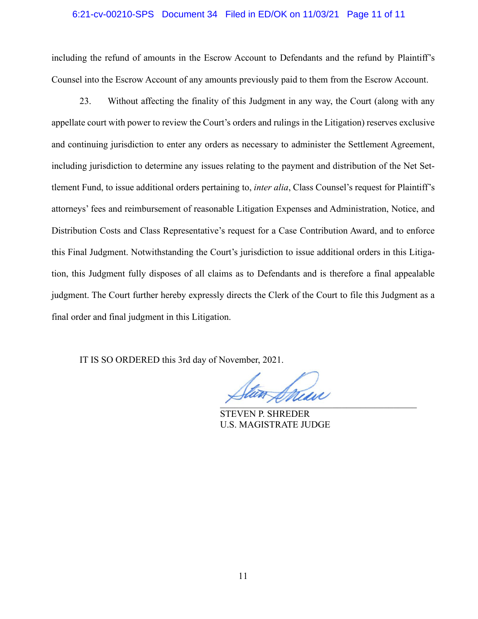#### 6:21-cv-00210-SPS Document 34 Filed in ED/OK on 11/03/21 Page 11 of 11

including the refund of amounts in the Escrow Account to Defendants and the refund by Plaintiff's Counsel into the Escrow Account of any amounts previously paid to them from the Escrow Account.

23. Without affecting the finality of this Judgment in any way, the Court (along with any appellate court with power to review the Court's orders and rulings in the Litigation) reserves exclusive and continuing jurisdiction to enter any orders as necessary to administer the Settlement Agreement, including jurisdiction to determine any issues relating to the payment and distribution of the Net Settlement Fund, to issue additional orders pertaining to, *inter alia*, Class Counsel's request for Plaintiff's attorneys' fees and reimbursement of reasonable Litigation Expenses and Administration, Notice, and Distribution Costs and Class Representative's request for a Case Contribution Award, and to enforce this Final Judgment. Notwithstanding the Court's jurisdiction to issue additional orders in this Litigation, this Judgment fully disposes of all claims as to Defendants and is therefore a final appealable judgment. The Court further hereby expressly directs the Clerk of the Court to file this Judgment as a final order and final judgment in this Litigation.

IT IS SO ORDERED this 3rd day of November, 2021.

 $\overline{1}$ 

STEVEN P. SHREDER U.S. MAGISTRATE JUDGE